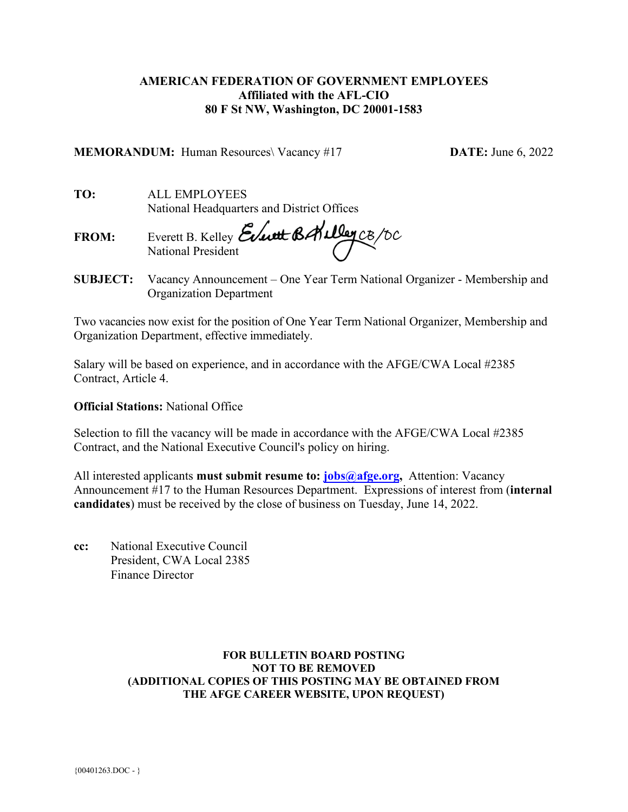### **AMERICAN FEDERATION OF GOVERNMENT EMPLOYEES Affiliated with the AFL-CIO 80 F St NW, Washington, DC 20001-1583**

**MEMORANDUM:** Human Resources\ Vacancy #17 **DATE:** June 6, 2022

**TO:** ALL EMPLOYEES National Headquarters and District Offices

**FROM:** Everett B. Kelley National President

**SUBJECT:** Vacancy Announcement – One Year Term National Organizer - Membership and Organization Department

Two vacancies now exist for the position of One Year Term National Organizer, Membership and Organization Department, effective immediately.

Salary will be based on experience, and in accordance with the AFGE/CWA Local #2385 Contract, Article 4.

### **Official Stations:** National Office

Selection to fill the vacancy will be made in accordance with the AFGE/CWA Local #2385 Contract, and the National Executive Council's policy on hiring.

All interested applicants **must submit resume to: [jobs@afge.org,](mailto:jobs@afge.org)** Attention: Vacancy Announcement #17 to the Human Resources Department. Expressions of interest from (**internal candidates**) must be received by the close of business on Tuesday, June 14, 2022.

**cc:** National Executive Council President, CWA Local 2385 Finance Director

### **FOR BULLETIN BOARD POSTING NOT TO BE REMOVED (ADDITIONAL COPIES OF THIS POSTING MAY BE OBTAINED FROM THE AFGE CAREER WEBSITE, UPON REQUEST)**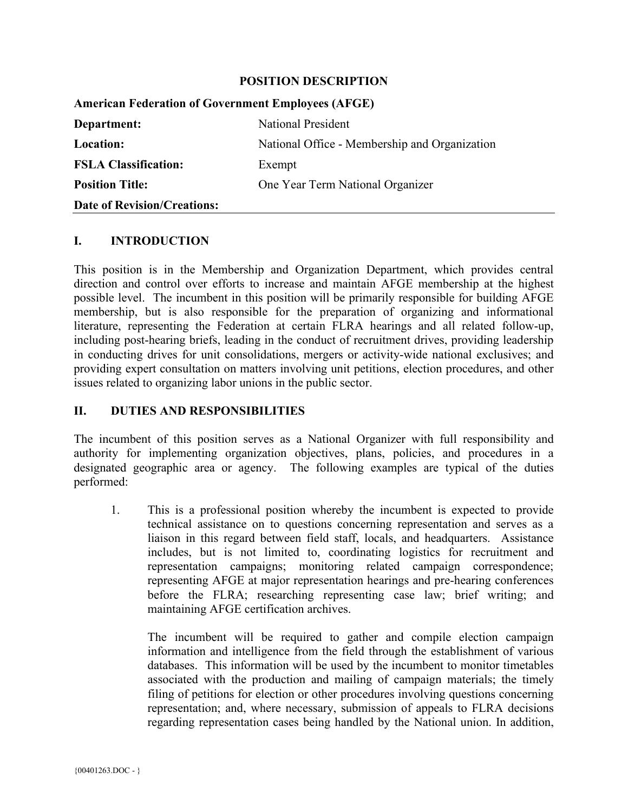#### **POSITION DESCRIPTION**

| <b>American Federation of Government Employees (AFGE)</b> |                                               |
|-----------------------------------------------------------|-----------------------------------------------|
| Department:                                               | National President                            |
| Location:                                                 | National Office - Membership and Organization |
| <b>FSLA Classification:</b>                               | Exempt                                        |
| <b>Position Title:</b>                                    | One Year Term National Organizer              |
| <b>Date of Revision/Creations:</b>                        |                                               |

#### **I. INTRODUCTION**

This position is in the Membership and Organization Department, which provides central direction and control over efforts to increase and maintain AFGE membership at the highest possible level. The incumbent in this position will be primarily responsible for building AFGE membership, but is also responsible for the preparation of organizing and informational literature, representing the Federation at certain FLRA hearings and all related follow-up, including post-hearing briefs, leading in the conduct of recruitment drives, providing leadership in conducting drives for unit consolidations, mergers or activity-wide national exclusives; and providing expert consultation on matters involving unit petitions, election procedures, and other issues related to organizing labor unions in the public sector.

### **II. DUTIES AND RESPONSIBILITIES**

The incumbent of this position serves as a National Organizer with full responsibility and authority for implementing organization objectives, plans, policies, and procedures in a designated geographic area or agency. The following examples are typical of the duties performed:

1. This is a professional position whereby the incumbent is expected to provide technical assistance on to questions concerning representation and serves as a liaison in this regard between field staff, locals, and headquarters. Assistance includes, but is not limited to, coordinating logistics for recruitment and representation campaigns; monitoring related campaign correspondence; representing AFGE at major representation hearings and pre-hearing conferences before the FLRA; researching representing case law; brief writing; and maintaining AFGE certification archives.

The incumbent will be required to gather and compile election campaign information and intelligence from the field through the establishment of various databases. This information will be used by the incumbent to monitor timetables associated with the production and mailing of campaign materials; the timely filing of petitions for election or other procedures involving questions concerning representation; and, where necessary, submission of appeals to FLRA decisions regarding representation cases being handled by the National union. In addition,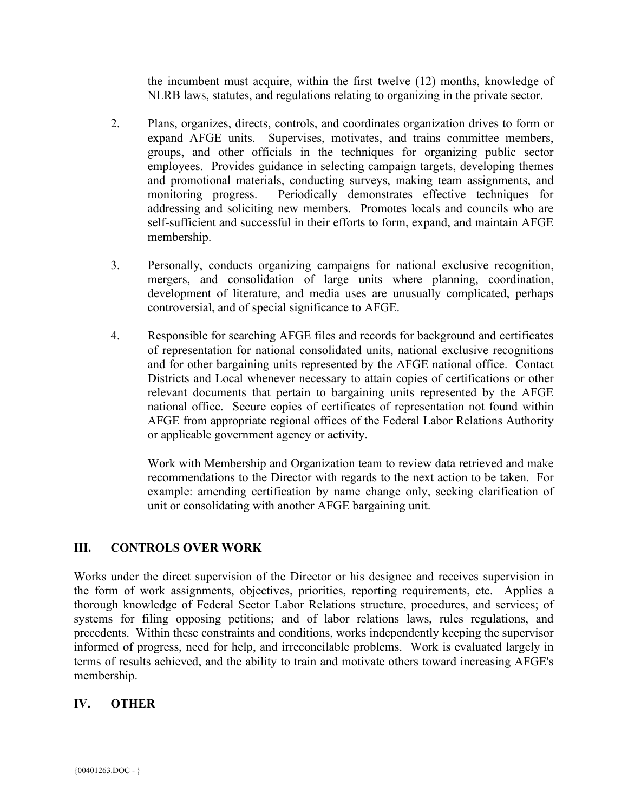the incumbent must acquire, within the first twelve (12) months, knowledge of NLRB laws, statutes, and regulations relating to organizing in the private sector.

- 2. Plans, organizes, directs, controls, and coordinates organization drives to form or expand AFGE units. Supervises, motivates, and trains committee members, groups, and other officials in the techniques for organizing public sector employees. Provides guidance in selecting campaign targets, developing themes and promotional materials, conducting surveys, making team assignments, and monitoring progress. Periodically demonstrates effective techniques for addressing and soliciting new members. Promotes locals and councils who are self-sufficient and successful in their efforts to form, expand, and maintain AFGE membership.
- 3. Personally, conducts organizing campaigns for national exclusive recognition, mergers, and consolidation of large units where planning, coordination, development of literature, and media uses are unusually complicated, perhaps controversial, and of special significance to AFGE.
- 4. Responsible for searching AFGE files and records for background and certificates of representation for national consolidated units, national exclusive recognitions and for other bargaining units represented by the AFGE national office. Contact Districts and Local whenever necessary to attain copies of certifications or other relevant documents that pertain to bargaining units represented by the AFGE national office. Secure copies of certificates of representation not found within AFGE from appropriate regional offices of the Federal Labor Relations Authority or applicable government agency or activity.

Work with Membership and Organization team to review data retrieved and make recommendations to the Director with regards to the next action to be taken. For example: amending certification by name change only, seeking clarification of unit or consolidating with another AFGE bargaining unit.

# **III. CONTROLS OVER WORK**

Works under the direct supervision of the Director or his designee and receives supervision in the form of work assignments, objectives, priorities, reporting requirements, etc. Applies a thorough knowledge of Federal Sector Labor Relations structure, procedures, and services; of systems for filing opposing petitions; and of labor relations laws, rules regulations, and precedents. Within these constraints and conditions, works independently keeping the supervisor informed of progress, need for help, and irreconcilable problems. Work is evaluated largely in terms of results achieved, and the ability to train and motivate others toward increasing AFGE's membership.

# **IV. OTHER**